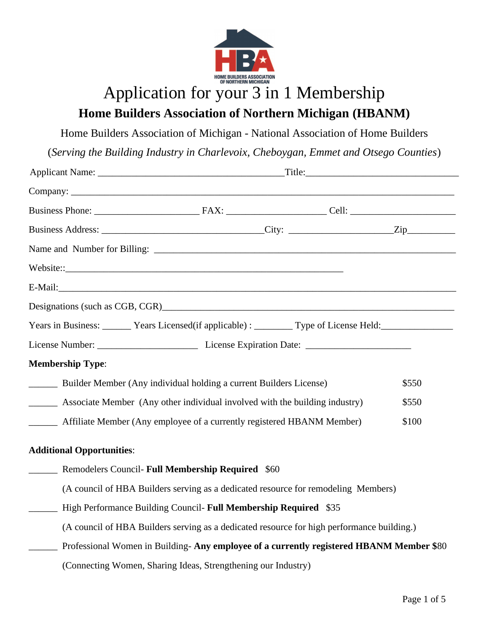

# Application for your 3 in 1 Membership **Home Builders Association of Northern Michigan (HBANM)**

Home Builders Association of Michigan - National Association of Home Builders

(*Serving the Building Industry in Charlevoix, Cheboygan, Emmet and Otsego Counties*)

| Years in Business: ________ Years Licensed(if applicable) : _________ Type of License Held: _________________ |                                                                  |                                                                                            |       |
|---------------------------------------------------------------------------------------------------------------|------------------------------------------------------------------|--------------------------------------------------------------------------------------------|-------|
|                                                                                                               |                                                                  |                                                                                            |       |
| <b>Membership Type:</b>                                                                                       |                                                                  |                                                                                            |       |
| _______ Builder Member (Any individual holding a current Builders License)                                    |                                                                  |                                                                                            | \$550 |
| Associate Member (Any other individual involved with the building industry)                                   |                                                                  |                                                                                            | \$550 |
| ________ Affiliate Member (Any employee of a currently registered HBANM Member)                               |                                                                  |                                                                                            | \$100 |
| <b>Additional Opportunities:</b>                                                                              |                                                                  |                                                                                            |       |
| <b>EXECUTE:</b> Remodelers Council- Full Membership Required \$60                                             |                                                                  |                                                                                            |       |
|                                                                                                               |                                                                  | (A council of HBA Builders serving as a dedicated resource for remodeling Members)         |       |
|                                                                                                               | High Performance Building Council- Full Membership Required \$35 |                                                                                            |       |
|                                                                                                               |                                                                  | (A council of HBA Builders serving as a dedicated resource for high performance building.) |       |
|                                                                                                               |                                                                  | Professional Women in Building-Any employee of a currently registered HBANM Member \$80    |       |
|                                                                                                               | (Connecting Women, Sharing Ideas, Strengthening our Industry)    |                                                                                            |       |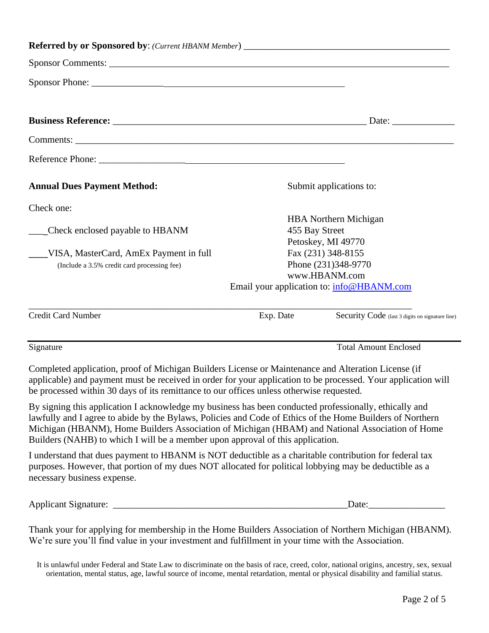| <b>Annual Dues Payment Method:</b>                                                                                                                                                                                                                                                                               |                                           | Submit applications to:                         |
|------------------------------------------------------------------------------------------------------------------------------------------------------------------------------------------------------------------------------------------------------------------------------------------------------------------|-------------------------------------------|-------------------------------------------------|
| Check one:                                                                                                                                                                                                                                                                                                       |                                           | <b>HBA</b> Northern Michigan                    |
| Check enclosed payable to HBANM                                                                                                                                                                                                                                                                                  | 455 Bay Street                            |                                                 |
|                                                                                                                                                                                                                                                                                                                  |                                           | Petoskey, MI 49770                              |
| VISA, MasterCard, AmEx Payment in full                                                                                                                                                                                                                                                                           |                                           | Fax (231) 348-8155                              |
| (Include a 3.5% credit card processing fee)                                                                                                                                                                                                                                                                      |                                           | Phone (231)348-9770<br>www.HBANM.com            |
|                                                                                                                                                                                                                                                                                                                  | Email your application to: info@HBANM.com |                                                 |
| <b>Credit Card Number</b>                                                                                                                                                                                                                                                                                        | Exp. Date                                 | Security Code (last 3 digits on signature line) |
| Signature                                                                                                                                                                                                                                                                                                        |                                           | <b>Total Amount Enclosed</b>                    |
| Completed application, proof of Michigan Builders License or Maintenance and Alteration License (if<br>applicable) and payment must be received in order for your application to be processed. Your application will<br>be processed within 30 days of its remittance to our offices unless otherwise requested. |                                           |                                                 |

By signing this application I acknowledge my business has been conducted professionally, ethically and lawfully and I agree to abide by the Bylaws, Policies and Code of Ethics of the Home Builders of Northern Michigan (HBANM), Home Builders Association of Michigan (HBAM) and National Association of Home Builders (NAHB) to which I will be a member upon approval of this application.

I understand that dues payment to HBANM is NOT deductible as a charitable contribution for federal tax purposes. However, that portion of my dues NOT allocated for political lobbying may be deductible as a necessary business expense.

Applicant Signature: \_\_\_\_\_\_\_\_\_\_\_\_\_\_\_\_\_\_\_\_\_\_\_\_\_\_\_\_\_\_\_\_\_\_\_\_\_\_\_\_\_\_\_\_\_\_\_\_\_Date:\_\_\_\_\_\_\_\_\_\_\_\_\_\_\_\_

Thank your for applying for membership in the Home Builders Association of Northern Michigan (HBANM). We're sure you'll find value in your investment and fulfillment in your time with the Association.

It is unlawful under Federal and State Law to discriminate on the basis of race, creed, color, national origins, ancestry, sex, sexual orientation, mental status, age, lawful source of income, mental retardation, mental or physical disability and familial status.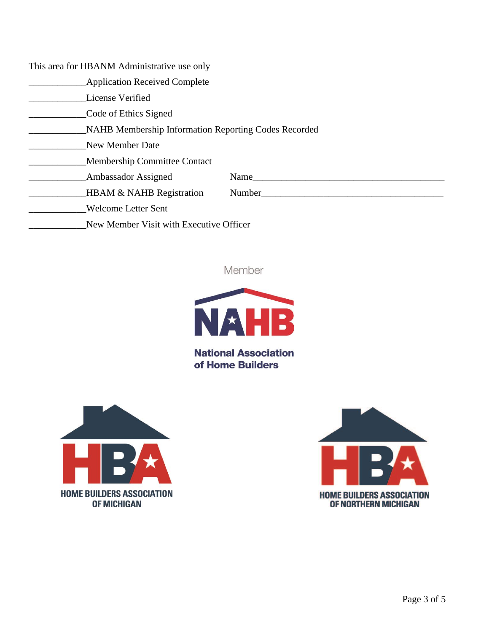This area for HBANM Administrative use only

- **Example 2** Application Received Complete
- License Verified

\_\_\_\_\_\_\_\_\_\_\_\_Code of Ethics Signed

\_\_\_\_\_\_\_\_\_\_\_\_NAHB Membership Information Reporting Codes Recorded

New Member Date

\_\_\_\_\_\_\_\_\_\_\_\_Membership Committee Contact

| <b>Ambassador Assigned</b> |
|----------------------------|
|----------------------------|

\_\_\_\_\_\_\_\_\_\_\_\_Ambassador Assigned Name\_\_\_\_\_\_\_\_\_\_\_\_\_\_\_\_\_\_\_\_\_\_\_\_\_\_\_\_\_\_\_\_\_\_\_\_\_\_\_\_

\_\_\_\_\_\_\_\_\_\_\_\_\_\_\_\_HBAM & NAHB Registration Number\_\_\_\_\_\_\_\_\_\_\_\_\_\_\_\_\_\_\_\_\_\_\_\_\_\_\_\_\_\_\_\_\_

\_\_\_\_\_\_\_\_\_\_\_\_Welcome Letter Sent

\_\_\_\_\_\_\_\_\_\_\_\_New Member Visit with Executive Officer

Member



**National Association** of Home Builders



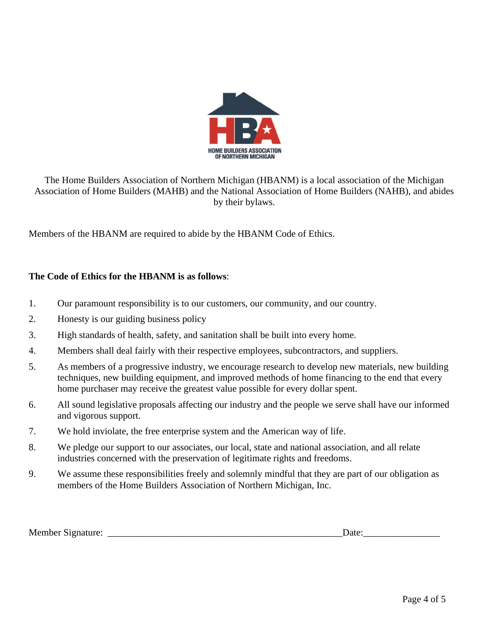

The Home Builders Association of Northern Michigan (HBANM) is a local association of the Michigan Association of Home Builders (MAHB) and the National Association of Home Builders (NAHB), and abides by their bylaws.

Members of the HBANM are required to abide by the HBANM Code of Ethics.

## **The Code of Ethics for the HBANM is as follows**:

- 1. Our paramount responsibility is to our customers, our community, and our country.
- 2. Honesty is our guiding business policy
- 3. High standards of health, safety, and sanitation shall be built into every home.
- 4. Members shall deal fairly with their respective employees, subcontractors, and suppliers.
- 5. As members of a progressive industry, we encourage research to develop new materials, new building techniques, new building equipment, and improved methods of home financing to the end that every home purchaser may receive the greatest value possible for every dollar spent.
- 6. All sound legislative proposals affecting our industry and the people we serve shall have our informed and vigorous support.
- 7. We hold inviolate, the free enterprise system and the American way of life.
- 8. We pledge our support to our associates, our local, state and national association, and all relate industries concerned with the preservation of legitimate rights and freedoms.
- 9. We assume these responsibilities freely and solemnly mindful that they are part of our obligation as members of the Home Builders Association of Northern Michigan, Inc.

Member Signature: \_\_\_\_\_\_\_\_\_\_\_\_\_\_\_\_\_\_\_\_\_\_\_\_\_\_\_\_\_\_\_\_\_\_\_\_\_\_\_\_\_\_\_\_\_\_\_\_\_Date:\_\_\_\_\_\_\_\_\_\_\_\_\_\_\_\_